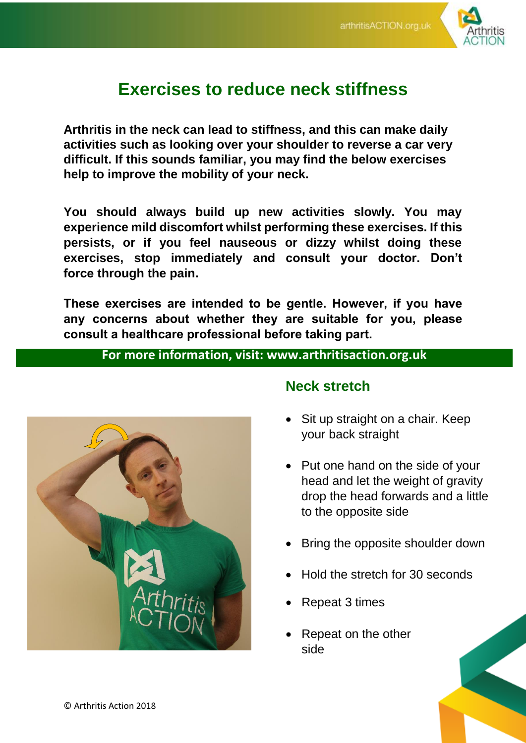

# **Exercises to reduce neck stiffness**

**Arthritis in the neck can lead to stiffness, and this can make daily activities such as looking over your shoulder to reverse a car very difficult. If this sounds familiar, you may find the below exercises help to improve the mobility of your neck.** 

**You should always build up new activities slowly. You may experience mild discomfort whilst performing these exercises. If this persists, or if you feel nauseous or dizzy whilst doing these exercises, stop immediately and consult your doctor. Don't force through the pain.** 

**These exercises are intended to be gentle. However, if you have any concerns about whether they are suitable for you, please consult a healthcare professional before taking part.**

#### **For more information, visit: www.arthritisaction.org.uk**



#### **Neck stretch**

- Sit up straight on a chair. Keep your back straight
- Put one hand on the side of your head and let the weight of gravity drop the head forwards and a little to the opposite side
- Bring the opposite shoulder down
- Hold the stretch for 30 seconds
- Repeat 3 times
- Repeat on the other side